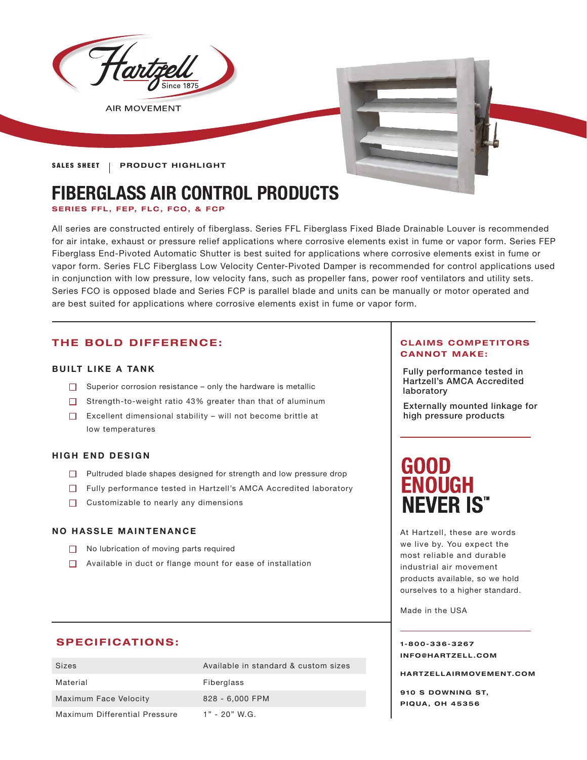

**SALES SHEET | PRODUCT HIGHLIGHT** 

# **FIBERGLASS AIR CONTROL PRODUCTS**

**SERIES FFL, FEP, FLC, FCO, & FCP** 

All series are constructed entirely of fiberglass. Series FFL Fiberglass Fixed Blade Drainable Louver is recommended for air intake, exhaust or pressure relief applications where corrosive elements exist in fume or vapor form. Series FEP Fiberglass End-Pivoted Automatic Shutter is best suited for applications where corrosive elements exist in fume or vapor form. Series FLC Fiberglass Low Velocity Center-Pivoted Damper is recommended for control applications used in conjunction with low pressure, low velocity fans, such as propeller fans, power roof ventilators and utility sets. Series FCO is opposed blade and Series FCP is parallel blade and units can be manually or motor operated and are best suited for applications where corrosive elements exist in fume or vapor form.

# **THE BOLD DIFFERENCE:**

# **BUILT LIKE A TANK**

- Superior corrosion resistance  $-$  only the hardware is metallic
- $\Box$  Strength-to-weight ratio 43% greater than that of aluminum
- Excellent dimensional stability will not become brittle at low temperatures

# **HIGH END DESIGN**

- Pultruded blade shapes designed for strength and low pressure drop
- Fully performance tested in Hartzell's AMCA Accredited laboratory
- $\Box$  Customizable to nearly any dimensions

# **NO HASSLE MAINTENANCE**

- No lubrication of moving parts required
- Available in duct or flange mount for ease of installation

# **SPECIFICATIONS:**

| Sizes                         | Available in standard & custom sizes |
|-------------------------------|--------------------------------------|
| Material                      | Fiberglass                           |
| Maximum Face Velocity         | 828 - 6,000 FPM                      |
| Maximum Differential Pressure | $1" - 20"$ W.G.                      |

# **CLAIMS COMPETITORS CANNOT MAKE:**

Fully performance tested in Hartzell's AMCA Accredited laboratory

Externally mounted linkage for high pressure products

# **GOOD ENOUGH NEVER IS"**

At Hartzell, these are words we live by. You expect the most reliable and durable industrial air movement products available, so we hold ourselves to a higher standard.

Made in the USA

**1-800-336-3267 I N F O @ H A R T Z E L L . C OM** 

**HARTZELLA IRMOVEMENT.COM**

**910 S DOWNING ST, PIQUA, OH 45356**